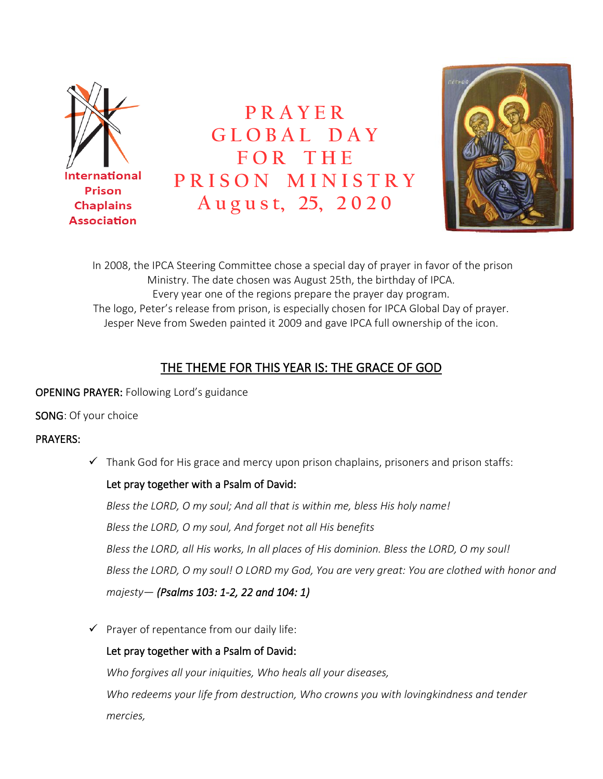

**P R A Y E R G L O B A L D A Y F O R T H E P R I S O N M I N I S T R Y A u g u s t, 25, 2 0 2 0**



In 2008, the IPCA Steering Committee chose a special day of prayer in favor of the prison Ministry. The date chosen was August 25th, the birthday of IPCA. Every year one of the regions prepare the prayer day program. The logo, Peter's release from prison, is especially chosen for IPCA Global Day of prayer. Jesper Neve from Sweden painted it 2009 and gave IPCA full ownership of the icon.

# THE THEME FOR THIS YEAR IS: THE GRACE OF GOD

### OPENING PRAYER: Following Lord's guidance

SONG: Of your choice

## PRAYERS:

 $\checkmark$  Thank God for His grace and mercy upon prison chaplains, prisoners and prison staffs:

## Let pray together with a Psalm of David:

*Bless the LORD, O my soul; And all that is within me, bless His holy name! Bless the LORD, O my soul, And forget not all His benefits Bless the LORD, all His works, In all places of His dominion. Bless the LORD, O my soul! Bless the LORD, O my soul! O LORD my God, You are very great: You are clothed with honor and majesty— (Psalms 103: 1-2, 22 and 104: 1)*

 $\checkmark$  Prayer of repentance from our daily life:

## Let pray together with a Psalm of David:

*Who forgives all your iniquities, Who heals all your diseases, Who redeems your life from destruction, Who crowns you with lovingkindness and tender mercies,*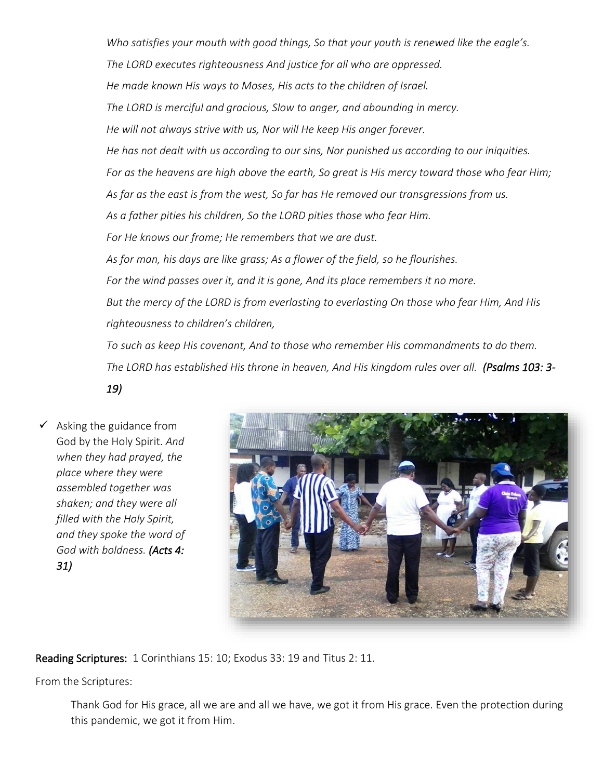*Who satisfies your mouth with good things, So that your youth is renewed like the eagle's. The LORD executes righteousness And justice for all who are oppressed. He made known His ways to Moses, His acts to the children of Israel. The LORD is merciful and gracious, Slow to anger, and abounding in mercy. He will not always strive with us, Nor will He keep His anger forever. He has not dealt with us according to our sins, Nor punished us according to our iniquities. For as the heavens are high above the earth, So great is His mercy toward those who fear Him; As far as the east is from the west, So far has He removed our transgressions from us. As a father pities his children, So the LORD pities those who fear Him. For He knows our frame; He remembers that we are dust. As for man, his days are like grass; As a flower of the field, so he flourishes. For the wind passes over it, and it is gone, And its place remembers it no more. But the mercy of the LORD is from everlasting to everlasting On those who fear Him, And His righteousness to children's children, To such as keep His covenant, And to those who remember His commandments to do them. The LORD has established His throne in heaven, And His kingdom rules over all. (Psalms 103: 3-*

*19)*

 $\checkmark$  Asking the guidance from God by the Holy Spirit. *And when they had prayed, the place where they were assembled together was shaken; and they were all filled with the Holy Spirit, and they spoke the word of God with boldness. (Acts 4: 31)*



Reading Scriptures: 1 Corinthians 15: 10; Exodus 33: 19 and Titus 2: 11.

From the Scriptures:

Thank God for His grace, all we are and all we have, we got it from His grace. Even the protection during this pandemic, we got it from Him.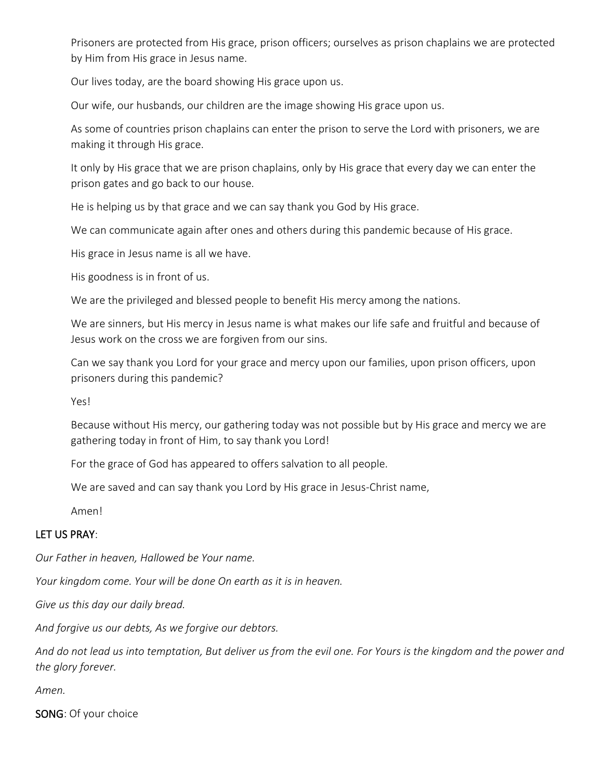Prisoners are protected from His grace, prison officers; ourselves as prison chaplains we are protected by Him from His grace in Jesus name.

Our lives today, are the board showing His grace upon us.

Our wife, our husbands, our children are the image showing His grace upon us.

As some of countries prison chaplains can enter the prison to serve the Lord with prisoners, we are making it through His grace.

It only by His grace that we are prison chaplains, only by His grace that every day we can enter the prison gates and go back to our house.

He is helping us by that grace and we can say thank you God by His grace.

We can communicate again after ones and others during this pandemic because of His grace.

His grace in Jesus name is all we have.

His goodness is in front of us.

We are the privileged and blessed people to benefit His mercy among the nations.

We are sinners, but His mercy in Jesus name is what makes our life safe and fruitful and because of Jesus work on the cross we are forgiven from our sins.

Can we say thank you Lord for your grace and mercy upon our families, upon prison officers, upon prisoners during this pandemic?

Yes!

Because without His mercy, our gathering today was not possible but by His grace and mercy we are gathering today in front of Him, to say thank you Lord!

For the grace of God has appeared to offers salvation to all people.

We are saved and can say thank you Lord by His grace in Jesus-Christ name,

Amen!

#### LET US PRAY:

*Our Father in heaven, Hallowed be Your name.* 

*Your kingdom come. Your will be done On earth as it is in heaven.* 

*Give us this day our daily bread.* 

*And forgive us our debts, As we forgive our debtors.* 

*And do not lead us into temptation, But deliver us from the evil one. For Yours is the kingdom and the power and the glory forever.* 

*Amen.* 

SONG: Of your choice